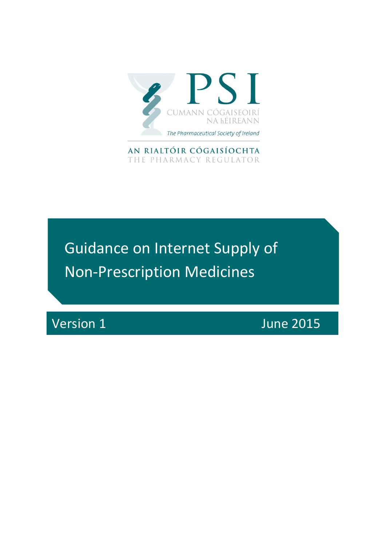

AN RIALTÓIR CÓGAISÍOCHTA THE PHARMACY REGULATOR

Guidance on Internet Supply of Non-Prescription Medicines

Version 1 June 2015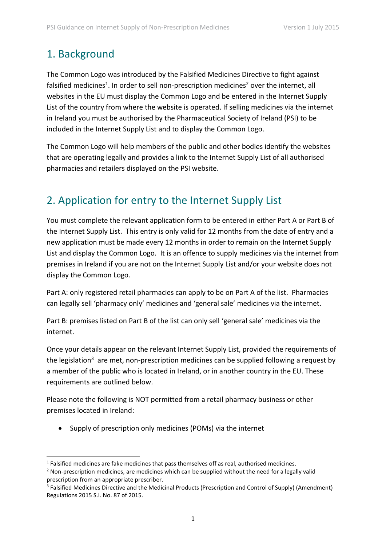## 1. Background

The Common Logo was introduced by the Falsified Medicines Directive to fight against falsified medicines<sup>1</sup>. In order to sell non-prescription medicines<sup>2</sup> over the internet, all websites in the EU must display the Common Logo and be entered in the Internet Supply List of the country from where the website is operated. If selling medicines via the internet in Ireland you must be authorised by the Pharmaceutical Society of Ireland (PSI) to be included in the Internet Supply List and to display the Common Logo.

The Common Logo will help members of the public and other bodies identify the websites that are operating legally and provides a link to the Internet Supply List of all authorised pharmacies and retailers displayed on the PSI website.

# 2. Application for entry to the Internet Supply List

You must complete the relevant application form to be entered in either Part A or Part B of the Internet Supply List. This entry is only valid for 12 months from the date of entry and a new application must be made every 12 months in order to remain on the Internet Supply List and display the Common Logo. It is an offence to supply medicines via the internet from premises in Ireland if you are not on the Internet Supply List and/or your website does not display the Common Logo.

Part A: only registered retail pharmacies can apply to be on Part A of the list. Pharmacies can legally sell 'pharmacy only' medicines and 'general sale' medicines via the internet.

Part B: premises listed on Part B of the list can only sell 'general sale' medicines via the internet.

Once your details appear on the relevant Internet Supply List, provided the requirements of the legislation<sup>3</sup> are met, non-prescription medicines can be supplied following a request by a member of the public who is located in Ireland, or in another country in the EU. These requirements are outlined below.

Please note the following is NOT permitted from a retail pharmacy business or other premises located in Ireland:

• Supply of prescription only medicines (POMs) via the internet

 $\overline{a}$  $<sup>1</sup>$  Falsified medicines are fake medicines that pass themselves off as real, authorised medicines.</sup>

<sup>&</sup>lt;sup>2</sup> Non-prescription medicines, are medicines which can be supplied without the need for a legally valid prescription from an appropriate prescriber.

<sup>&</sup>lt;sup>3</sup> Falsified Medicines Directive and the Medicinal Products (Prescription and Control of Supply) (Amendment) Regulations 2015 S.I. No. 87 of 2015.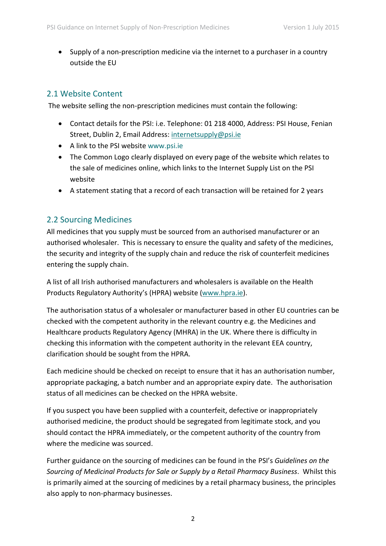Supply of a non-prescription medicine via the internet to a purchaser in a country outside the EU

### 2.1 Website Content

The website selling the non-prescription medicines must contain the following:

- Contact details for the PSI: i.e. Telephone: 01 218 4000, Address: PSI House, Fenian Street, Dublin 2, Email Address: [internetsupply@psi.ie](mailto:internetsupply@psi.ie)
- A link to the PSI website [www.psi.ie](http://www.psi.ie/)
- The Common Logo clearly displayed on every page of the website which relates to the sale of medicines online, which links to the Internet Supply List on the PSI website
- A statement stating that a record of each transaction will be retained for 2 years

#### 2.2 Sourcing Medicines

All medicines that you supply must be sourced from an authorised manufacturer or an authorised wholesaler. This is necessary to ensure the quality and safety of the medicines, the security and integrity of the supply chain and reduce the risk of counterfeit medicines entering the supply chain.

A list of all Irish authorised manufacturers and wholesalers is available on the Health Products Regulatory Authority's (HPRA) website [\(www.hpra.ie\)](http://www.hpra.ie/).

The authorisation status of a wholesaler or manufacturer based in other EU countries can be checked with the competent authority in the relevant country e.g. the Medicines and Healthcare products Regulatory Agency (MHRA) in the UK. Where there is difficulty in checking this information with the competent authority in the relevant EEA country, clarification should be sought from the HPRA.

Each medicine should be checked on receipt to ensure that it has an authorisation number, appropriate packaging, a batch number and an appropriate expiry date. The authorisation status of all medicines can be checked on the HPRA website.

If you suspect you have been supplied with a counterfeit, defective or inappropriately authorised medicine, the product should be segregated from legitimate stock, and you should contact the HPRA immediately, or the competent authority of the country from where the medicine was sourced.

Further guidance on the sourcing of medicines can be found in the PSI's *Guidelines on the Sourcing of Medicinal Products for Sale or Supply by a Retail Pharmacy Business*. Whilst this is primarily aimed at the sourcing of medicines by a retail pharmacy business, the principles also apply to non-pharmacy businesses.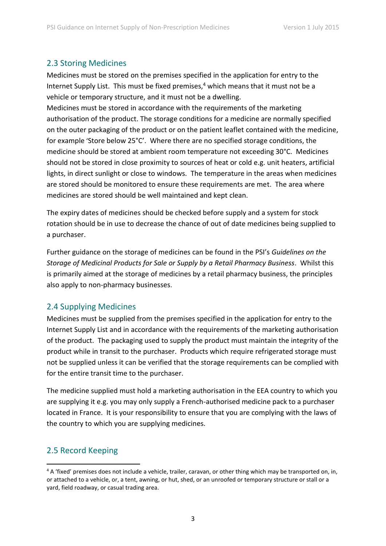#### 2.3 Storing Medicines

Medicines must be stored on the premises specified in the application for entry to the Internet Supply List. This must be fixed premises, $4$  which means that it must not be a vehicle or temporary structure, and it must not be a dwelling.

Medicines must be stored in accordance with the requirements of the marketing authorisation of the product. The storage conditions for a medicine are normally specified on the outer packaging of the product or on the patient leaflet contained with the medicine, for example 'Store below 25°C'. Where there are no specified storage conditions, the medicine should be stored at ambient room temperature not exceeding 30°C. Medicines should not be stored in close proximity to sources of heat or cold e.g. unit heaters, artificial lights, in direct sunlight or close to windows. The temperature in the areas when medicines are stored should be monitored to ensure these requirements are met. The area where medicines are stored should be well maintained and kept clean.

The expiry dates of medicines should be checked before supply and a system for stock rotation should be in use to decrease the chance of out of date medicines being supplied to a purchaser.

Further guidance on the storage of medicines can be found in the PSI's *Guidelines on the Storage of Medicinal Products for Sale or Supply by a Retail Pharmacy Business*. Whilst this is primarily aimed at the storage of medicines by a retail pharmacy business, the principles also apply to non-pharmacy businesses.

### 2.4 Supplying Medicines

Medicines must be supplied from the premises specified in the application for entry to the Internet Supply List and in accordance with the requirements of the marketing authorisation of the product. The packaging used to supply the product must maintain the integrity of the product while in transit to the purchaser. Products which require refrigerated storage must not be supplied unless it can be verified that the storage requirements can be complied with for the entire transit time to the purchaser.

The medicine supplied must hold a marketing authorisation in the EEA country to which you are supplying it e.g. you may only supply a French-authorised medicine pack to a purchaser located in France. It is your responsibility to ensure that you are complying with the laws of the country to which you are supplying medicines.

### 2.5 Record Keeping

**.** 

<sup>&</sup>lt;sup>4</sup> A 'fixed' premises does not include a vehicle, trailer, caravan, or other thing which may be transported on, in, or attached to a vehicle, or, a tent, awning, or hut, shed, or an unroofed or temporary structure or stall or a yard, field roadway, or casual trading area.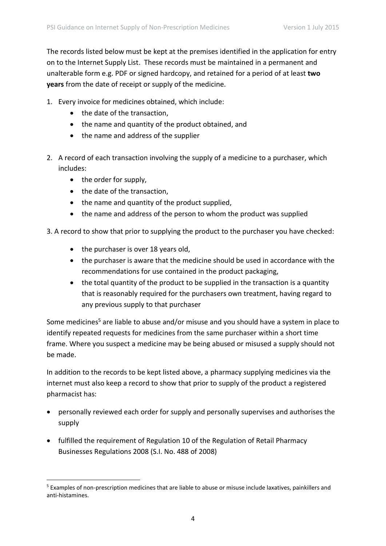The records listed below must be kept at the premises identified in the application for entry on to the Internet Supply List. These records must be maintained in a permanent and unalterable form e.g. PDF or signed hardcopy, and retained for a period of at least **two years** from the date of receipt or supply of the medicine.

- 1. Every invoice for medicines obtained, which include:
	- the date of the transaction,
	- the name and quantity of the product obtained, and
	- the name and address of the supplier
- 2. A record of each transaction involving the supply of a medicine to a purchaser, which includes:
	- $\bullet$  the order for supply,

**.** 

- the date of the transaction.
- the name and quantity of the product supplied,
- the name and address of the person to whom the product was supplied

3. A record to show that prior to supplying the product to the purchaser you have checked:

- the purchaser is over 18 years old,
- the purchaser is aware that the medicine should be used in accordance with the recommendations for use contained in the product packaging,
- the total quantity of the product to be supplied in the transaction is a quantity that is reasonably required for the purchasers own treatment, having regard to any previous supply to that purchaser

Some medicines<sup>5</sup> are liable to abuse and/or misuse and you should have a system in place to identify repeated requests for medicines from the same purchaser within a short time frame. Where you suspect a medicine may be being abused or misused a supply should not be made.

In addition to the records to be kept listed above, a pharmacy supplying medicines via the internet must also keep a record to show that prior to supply of the product a registered pharmacist has:

- personally reviewed each order for supply and personally supervises and authorises the supply
- fulfilled the requirement of Regulation 10 of the Regulation of Retail Pharmacy Businesses Regulations 2008 (S.I. No. 488 of 2008)

<sup>5</sup> Examples of non-prescription medicines that are liable to abuse or misuse include laxatives, painkillers and anti-histamines.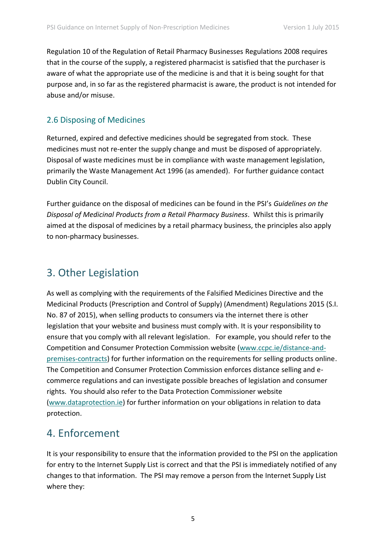Regulation 10 of the Regulation of Retail Pharmacy Businesses Regulations 2008 requires that in the course of the supply, a registered pharmacist is satisfied that the purchaser is aware of what the appropriate use of the medicine is and that it is being sought for that purpose and, in so far as the registered pharmacist is aware, the product is not intended for abuse and/or misuse.

### 2.6 Disposing of Medicines

Returned, expired and defective medicines should be segregated from stock. These medicines must not re-enter the supply change and must be disposed of appropriately. Disposal of waste medicines must be in compliance with waste management legislation, primarily the Waste Management Act 1996 (as amended). For further guidance contact Dublin City Council.

Further guidance on the disposal of medicines can be found in the PSI's *Guidelines on the Disposal of Medicinal Products from a Retail Pharmacy Business*. Whilst this is primarily aimed at the disposal of medicines by a retail pharmacy business, the principles also apply to non-pharmacy businesses.

## 3. Other Legislation

As well as complying with the requirements of the Falsified Medicines Directive and the Medicinal Products (Prescription and Control of Supply) (Amendment) Regulations 2015 (S.I. No. 87 of 2015), when selling products to consumers via the internet there is other legislation that your website and business must comply with. It is your responsibility to ensure that you comply with all relevant legislation. For example, you should refer to the Competition and Consumer Protection Commission website [\(www.ccpc.ie/distance-and](http://www.ccpc.ie/distance-and-premises-contracts)[premises-contracts\)](http://www.ccpc.ie/distance-and-premises-contracts) for further information on the requirements for selling products online. The Competition and Consumer Protection Commission enforces distance selling and ecommerce regulations and can investigate possible breaches of legislation and consumer rights. You should also refer to the Data Protection Commissioner website [\(www.dataprotection.ie\)](http://www.dataprotection.ie/) for further information on your obligations in relation to data protection.

## 4. Enforcement

It is your responsibility to ensure that the information provided to the PSI on the application for entry to the Internet Supply List is correct and that the PSI is immediately notified of any changes to that information. The PSI may remove a person from the Internet Supply List where they: